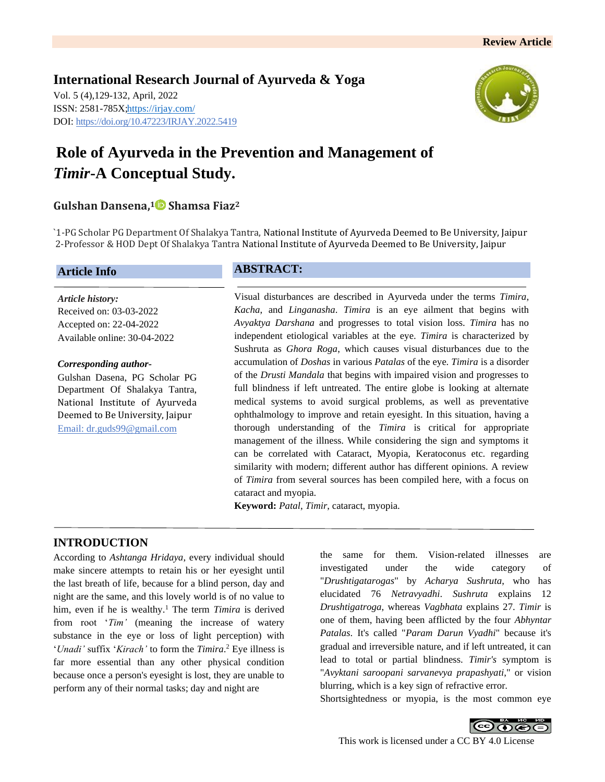**International Research Journal of Ayurveda & Yoga** Vol. 5 (4),129-132, April, 2022 ISSN: 2581-785X[; https://irjay.com/](https://irjay.com/) DOI: https://doi.org/10.47223/IRJAY.2022.5419



# **Role of Ayurveda in the Prevention and Management of**  *Timir***-A Conceptual Study.**

## **Gulshan Dansena, <sup>1</sup> Shamsa Fiaz<sup>2</sup>**

`1-PG Scholar PG Department Of Shalakya Tantra, National Institute of Ayurveda Deemed to Be University, Jaipur 2-Professor & HOD Dept Of Shalakya Tantra National Institute of Ayurveda Deemed to Be University, Jaipur

#### **Article Info**

*Article history:* Received on: 03-03-2022 Accepted on: 22-04-2022 Available online: 30-04-2022

#### *Corresponding author-*

Gulshan Dasena, PG Scholar PG Department Of Shalakya Tantra, National Institute of Ayurveda Deemed to Be University, Jaipur Email: dr.guds99@gmail.com

#### **ABSTRACT:**

Visual disturbances are described in Ayurveda under the terms *Timira*, *Kacha*, and *Linganasha*. *Timira* is an eye ailment that begins with *Avyaktya Darshana* and progresses to total vision loss. *Timira* has no independent etiological variables at the eye. *Timira* is characterized by Sushruta as *Ghora Roga*, which causes visual disturbances due to the accumulation of *Doshas* in various *Patalas* of the eye. *Timira* is a disorder of the *Drusti Mandala* that begins with impaired vision and progresses to full blindness if left untreated. The entire globe is looking at alternate medical systems to avoid surgical problems, as well as preventative ophthalmology to improve and retain eyesight. In this situation, having a thorough understanding of the *Timira* is critical for appropriate management of the illness. While considering the sign and symptoms it can be correlated with Cataract, Myopia, Keratoconus etc. regarding similarity with modern; different author has different opinions. A review of *Timira* from several sources has been compiled here, with a focus on cataract and myopia.

**Keyword:** *Patal*, *Timir*, cataract, myopia.

# **INTRODUCTION**

According to *Ashtanga Hridaya*, every individual should make sincere attempts to retain his or her eyesight until the last breath of life, because for a blind person, day and night are the same, and this lovely world is of no value to him, even if he is wealthy.<sup>1</sup> The term *Timira* is derived from root '*Tim'* (meaning the increase of watery substance in the eye or loss of light perception) with '*Unadi'* suffix '*Kirach'* to form the *Timira*. <sup>2</sup> Eye illness is far more essential than any other physical condition because once a person's eyesight is lost, they are unable to perform any of their normal tasks; day and night are

the same for them. Vision-related illnesses are investigated under the wide category of "*Drushtigatarogas*" by *Acharya Sushruta*, who has elucidated 76 *Netravyadhi*. *Sushruta* explains 12 *Drushtigatroga*, whereas *Vagbhata* explains 27. *Timir* is one of them, having been afflicted by the four *Abhyntar Patalas*. It's called "*Param Darun Vyadhi*" because it's gradual and irreversible nature, and if left untreated, it can lead to total or partial blindness. *Timir's* symptom is "*Avyktani saroopani sarvanevya prapashyati*," or vision blurring, which is a key sign of refractive error.

Shortsightedness or myopia, is the most common eye

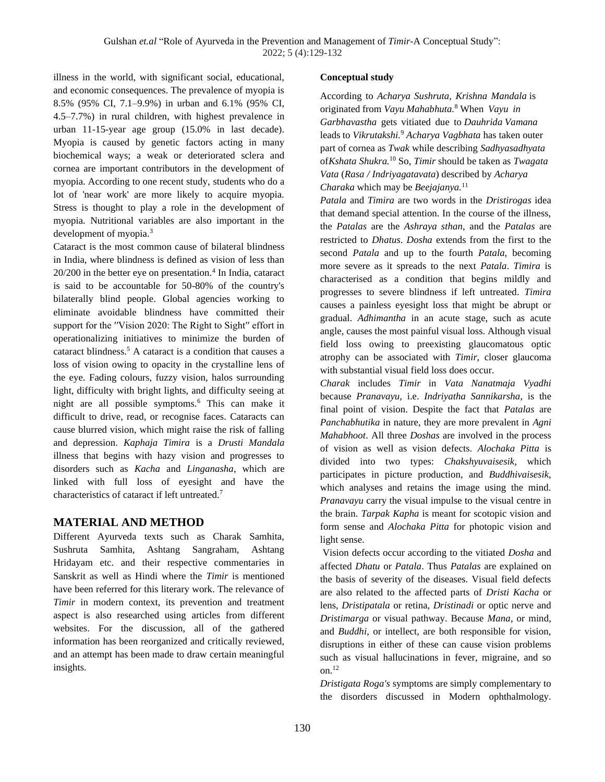illness in the world, with significant social, educational, and economic consequences. The prevalence of myopia is 8.5% (95% CI, 7.1–9.9%) in urban and 6.1% (95% CI, 4.5–7.7%) in rural children, with highest prevalence in urban 11-15-year age group (15.0% in last decade). Myopia is caused by genetic factors acting in many biochemical ways; a weak or deteriorated sclera and cornea are important contributors in the development of myopia. According to one recent study, students who do a lot of 'near work' are more likely to acquire myopia. Stress is thought to play a role in the development of myopia. Nutritional variables are also important in the development of myopia.<sup>3</sup>

Cataract is the most common cause of bilateral blindness in India, where blindness is defined as vision of less than  $20/200$  in the better eye on presentation.<sup>4</sup> In India, cataract is said to be accountable for 50-80% of the country's bilaterally blind people. Global agencies working to eliminate avoidable blindness have committed their support for the ''Vision 2020: The Right to Sight'' effort in operationalizing initiatives to minimize the burden of cataract blindness.<sup>5</sup> A cataract is a condition that causes a loss of vision owing to opacity in the crystalline lens of the eye. Fading colours, fuzzy vision, halos surrounding light, difficulty with bright lights, and difficulty seeing at night are all possible symptoms.<sup>6</sup> This can make it difficult to drive, read, or recognise faces. Cataracts can cause blurred vision, which might raise the risk of falling and depression. *Kaphaja Timira* is a *Drusti Mandala* illness that begins with hazy vision and progresses to disorders such as *Kacha* and *Linganasha*, which are linked with full loss of eyesight and have the characteristics of cataract if left untreated.<sup>7</sup>

### **MATERIAL AND METHOD**

Different Ayurveda texts such as Charak Samhita, Sushruta Samhita, Ashtang Sangraham, Ashtang Hridayam etc. and their respective commentaries in Sanskrit as well as Hindi where the *Timir* is mentioned have been referred for this literary work. The relevance of *Timir* in modern context, its prevention and treatment aspect is also researched using articles from different websites. For the discussion, all of the gathered information has been reorganized and critically reviewed, and an attempt has been made to draw certain meaningful insights.

#### **Conceptual study**

According to *Acharya Sushruta, Krishna Mandala* is originated from *Vayu Mahabhuta.*<sup>8</sup> When *Vayu in Garbhavastha* gets vitiated due to *Dauhrida Vamana* leads to *Vikrutakshi.*<sup>9</sup> *Acharya Vagbhata* has taken outer part of cornea as *Twak* while describing *Sadhyasadhyata* of *Kshata Shukra.*<sup>10</sup> So, *Timir* should be taken as *Twagata Vata* (*Rasa / Indriyagatavata*) described by *Acharya Charaka* which may be *Beejajanya.*<sup>11</sup>

*Patala* and *Timira* are two words in the *Dristirogas* idea that demand special attention. In the course of the illness, the *Patalas* are the *Ashraya sthan*, and the *Patalas* are restricted to *Dhatus*. *Dosha* extends from the first to the second *Patala* and up to the fourth *Patala*, becoming more severe as it spreads to the next *Patala*. *Timira* is characterised as a condition that begins mildly and progresses to severe blindness if left untreated. *Timira* causes a painless eyesight loss that might be abrupt or gradual. *Adhimantha* in an acute stage, such as acute angle, causes the most painful visual loss. Although visual field loss owing to preexisting glaucomatous optic atrophy can be associated with *Timir*, closer glaucoma with substantial visual field loss does occur.

*Charak* includes *Timir* in *Vata Nanatmaja Vyadhi* because *Pranavayu*, i.e. *Indriyatha Sannikarsha*, is the final point of vision. Despite the fact that *Patalas* are *Panchabhutika* in nature, they are more prevalent in *Agni Mahabhoot*. All three *Doshas* are involved in the process of vision as well as vision defects. *Alochaka Pitta* is divided into two types: *Chakshyuvaisesik*, which participates in picture production, and *Buddhivaisesik*, which analyses and retains the image using the mind. *Pranavayu* carry the visual impulse to the visual centre in the brain. *Tarpak Kapha* is meant for scotopic vision and form sense and *Alochaka Pitta* for photopic vision and light sense.

Vision defects occur according to the vitiated *Dosha* and affected *Dhatu* or *Patala*. Thus *Patalas* are explained on the basis of severity of the diseases. Visual field defects are also related to the affected parts of *Dristi Kacha* or lens, *Dristipatala* or retina, *Dristinadi* or optic nerve and *Dristimarga* or visual pathway. Because *Mana*, or mind, and *Buddhi*, or intellect, are both responsible for vision, disruptions in either of these can cause vision problems such as visual hallucinations in fever, migraine, and so on $^{12}$ 

*Dristigata Roga's* symptoms are simply complementary to the disorders discussed in Modern ophthalmology.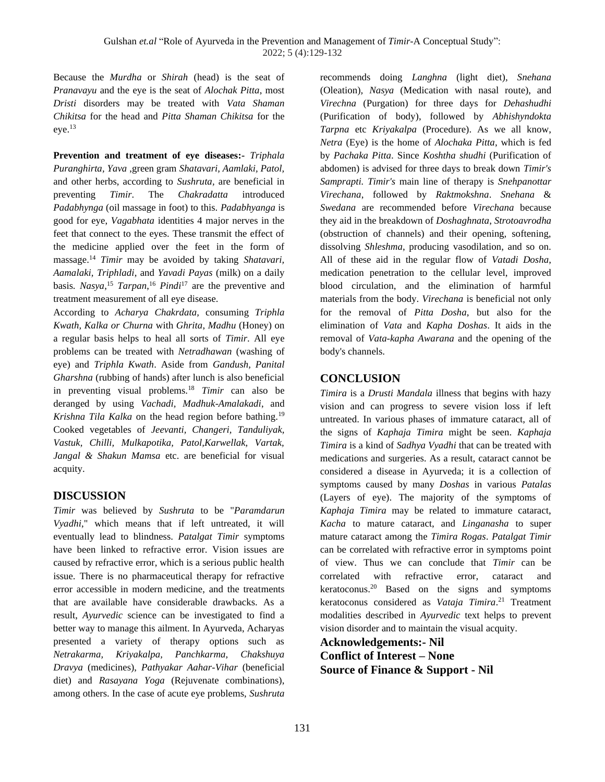Because the *Murdha* or *Shirah* (head) is the seat of *Pranavayu* and the eye is the seat of *Alochak Pitta*, most *Dristi* disorders may be treated with *Vata Shaman Chikitsa* for the head and *Pitta Shaman Chikitsa* for the eye.<sup>13</sup>

**Prevention and treatment of eye diseases:-** *Triphala Puranghirta, Yava* ,green gram *Shatavari, Aamlaki, Patol,* and other herbs, according to *Sushruta,* are beneficial in preventing *Timir*. The *Chakradatta* introduced *Padabhynga* (oil massage in foot) to this. *Padabhyanga* is good for eye, *Vagabhata* identities 4 major nerves in the feet that connect to the eyes. These transmit the effect of the medicine applied over the feet in the form of massage.<sup>14</sup> *Timir* may be avoided by taking *Shatavari, Aamalaki, Triphladi*, and *Yavadi Payas* (milk) on a daily basis. *Nasya*, <sup>15</sup> *Tarpan*, <sup>16</sup> *Pindi*<sup>17</sup> are the preventive and treatment measurement of all eye disease.

According to *Acharya Chakrdata,* consuming *Triphla Kwath, Kalka or Churna* with *Ghrita*, *Madhu* (Honey) on a regular basis helps to heal all sorts of *Timir*. All eye problems can be treated with *Netradhawan* (washing of eye) and *Triphla Kwath*. Aside from *Gandush, Panital Gharshna* (rubbing of hands) after lunch is also beneficial in preventing visual problems.<sup>18</sup> *Timir* can also be deranged by using *Vachadi, Madhuk-Amalakadi*, and *Krishna Tila Kalka* on the head region before bathing.<sup>19</sup> Cooked vegetables of *Jeevanti, Changeri, Tanduliyak, Vastuk, Chilli, Mulkapotika, Patol,Karwellak, Vartak, Jangal & Shakun Mamsa* etc. are beneficial for visual acquity.

# **DISCUSSION**

*Timir* was believed by *Sushruta* to be "*Paramdarun Vyadhi*," which means that if left untreated, it will eventually lead to blindness. *Patalgat Timir* symptoms have been linked to refractive error. Vision issues are caused by refractive error, which is a serious public health issue. There is no pharmaceutical therapy for refractive error accessible in modern medicine, and the treatments that are available have considerable drawbacks. As a result, *Ayurvedic* science can be investigated to find a better way to manage this ailment. In Ayurveda, Acharyas presented a variety of therapy options such as *Netrakarma, Kriyakalpa, Panchkarma, Chakshuya Dravya* (medicines), *Pathyakar Aahar-Vihar* (beneficial diet) and *Rasayana Yoga* (Rejuvenate combinations), among others. In the case of acute eye problems, *Sushruta* recommends doing *Langhna* (light diet)*, Snehana*  (Oleation)*, Nasya* (Medication with nasal route), and *Virechna* (Purgation) for three days for *Dehashudhi*  (Purification of body), followed by *Abhishyndokta Tarpna* etc *Kriyakalpa* (Procedure). As we all know, *Netra* (Eye) is the home of *Alochaka Pitta*, which is fed by *Pachaka Pitta*. Since *Koshtha shudhi* (Purification of abdomen) is advised for three days to break down *Timir's Samprapti. Timir's* main line of therapy is *Snehpanottar Virechana*, followed by *Raktmokshna*. *Snehana* & *Swedana* are recommended before *Virechana* because they aid in the breakdown of *Doshaghnata*, *Strotoavrodha* (obstruction of channels) and their opening, softening, dissolving *Shleshma*, producing vasodilation, and so on. All of these aid in the regular flow of *Vatadi Dosha*, medication penetration to the cellular level, improved blood circulation, and the elimination of harmful materials from the body. *Virechana* is beneficial not only for the removal of *Pitta Dosha*, but also for the elimination of *Vata* and *Kapha Doshas*. It aids in the removal of *Vata-kapha Awarana* and the opening of the body's channels.

### **CONCLUSION**

*Timira* is a *Drusti Mandala* illness that begins with hazy vision and can progress to severe vision loss if left untreated. In various phases of immature cataract, all of the signs of *Kaphaja Timira* might be seen. *Kaphaja Timira* is a kind of *Sadhya Vyadhi* that can be treated with medications and surgeries. As a result, cataract cannot be considered a disease in Ayurveda; it is a collection of symptoms caused by many *Doshas* in various *Patalas*  (Layers of eye). The majority of the symptoms of *Kaphaja Timira* may be related to immature cataract, *Kacha* to mature cataract, and *Linganasha* to super mature cataract among the *Timira Rogas*. *Patalgat Timir* can be correlated with refractive error in symptoms point of view. Thus we can conclude that *Timir* can be correlated with refractive error, cataract and keratoconus.<sup>20</sup> Based on the signs and symptoms keratoconus considered as *Vataja Timira*. <sup>21</sup> Treatment modalities described in *Ayurvedic* text helps to prevent vision disorder and to maintain the visual acquity.

**Acknowledgements:- Nil Conflict of Interest – None Source of Finance & Support - Nil**